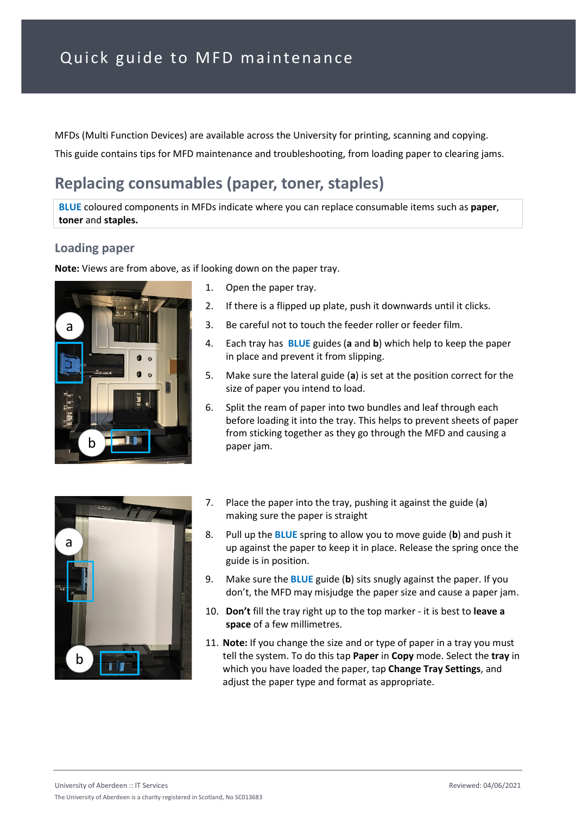MFDs (Multi Function Devices) are available across the University for printing, scanning and copying. This guide contains tips for MFD maintenance and troubleshooting, from loading paper to clearing jams.

## **Replacing consumables (paper, toner, staples)**

**BLUE** coloured components in MFDs indicate where you can replace consumable items such as **paper**, **toner** and **staples.**

### **Loading paper**

**Note:** Views are from above, as if looking down on the paper tray.



- 1. Open the paper tray.
- 2. If there is a flipped up plate, push it downwards until it clicks.
- 3. Be careful not to touch the feeder roller or feeder film.
- 4. Each tray has **BLUE** guides (**a** and **b**) which help to keep the paper in place and prevent it from slipping.
- 5. Make sure the lateral guide (**a**) is set at the position correct for the size of paper you intend to load.
- 6. Split the ream of paper into two bundles and leaf through each before loading it into the tray. This helps to prevent sheets of paper from sticking together as they go through the MFD and causing a paper jam.



- 7. Place the paper into the tray, pushing it against the guide (**a**) making sure the paper is straight
- 8. Pull up the **BLUE** spring to allow you to move guide (**b**) and push it up against the paper to keep it in place. Release the spring once the guide is in position.
- 9. Make sure the **BLUE** guide (**b**) sits snugly against the paper. If you don't, the MFD may misjudge the paper size and cause a paper jam.
- 10. **Don't** fill the tray right up to the top marker it is best to **leave a space** of a few millimetres.
- 11. **Note:** If you change the size and or type of paper in a tray you must tell the system. To do this tap **Paper** in **Copy** mode. Select the **tray** in which you have loaded the paper, tap **Change Tray Settings**, and adjust the paper type and format as appropriate.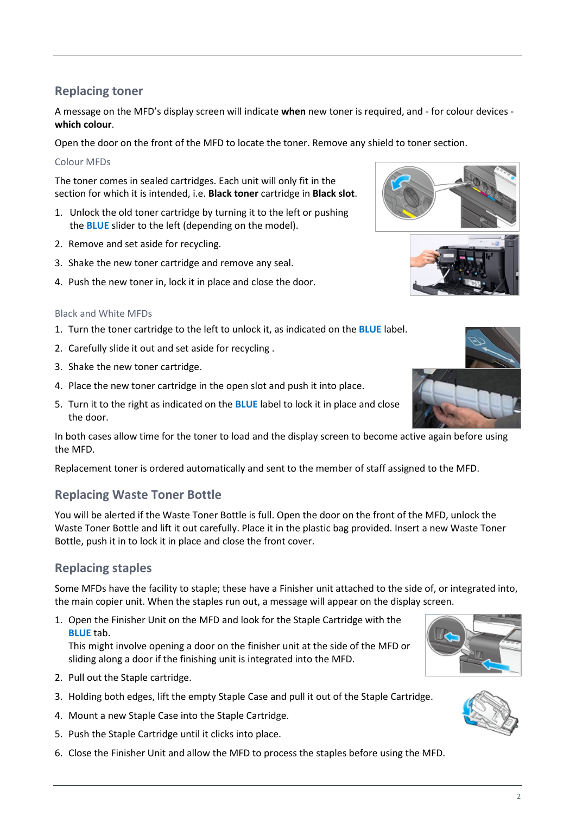A message on the MFD's display screen will indicate **when** new toner is required, and - for colour devices **which colour**.

Open the door on the front of the MFD to locate the toner. Remove any shield to toner section.

#### Colour MFDs

The toner comes in sealed cartridges. Each unit will only fit in the section for which it is intended, i.e. **Black toner** cartridge in **Black slot**.

- 1. Unlock the old toner cartridge by turning it to the left or pushing the **BLUE** slider to the left (depending on the model).
- 2. Remove and set aside for recycling.
- 3. Shake the new toner cartridge and remove any seal.
- 4. Push the new toner in, lock it in place and close the door.

#### Black and White MFDs

- 1. Turn the toner cartridge to the left to unlock it, as indicated on the **BLUE** label.
- 2. Carefully slide it out and set aside for recycling .
- 3. Shake the new toner cartridge.
- 4. Place the new toner cartridge in the open slot and push it into place.
- 5. Turn it to the right as indicated on the **BLUE** label to lock it in place and close the door.

In both cases allow time for the toner to load and the display screen to become active again before using the MFD.

Replacement toner is ordered automatically and sent to the member of staff assigned to the MFD.

### **Replacing Waste Toner Bottle**

You will be alerted if the Waste Toner Bottle is full. Open the door on the front of the MFD, unlock the Waste Toner Bottle and lift it out carefully. Place it in the plastic bag provided. Insert a new Waste Toner Bottle, push it in to lock it in place and close the front cover.

### **Replacing staples**

Some MFDs have the facility to staple; these have a Finisher unit attached to the side of, or integrated into, the main copier unit. When the staples run out, a message will appear on the display screen.

1. Open the Finisher Unit on the MFD and look for the Staple Cartridge with the **BLUE** tab.

This might involve opening a door on the finisher unit at the side of the MFD or sliding along a door if the finishing unit is integrated into the MFD.

- 2. Pull out the Staple cartridge.
- 3. Holding both edges, lift the empty Staple Case and pull it out of the Staple Cartridge.
- 4. Mount a new Staple Case into the Staple Cartridge.
- 5. Push the Staple Cartridge until it clicks into place.
- 6. Close the Finisher Unit and allow the MFD to process the staples before using the MFD.